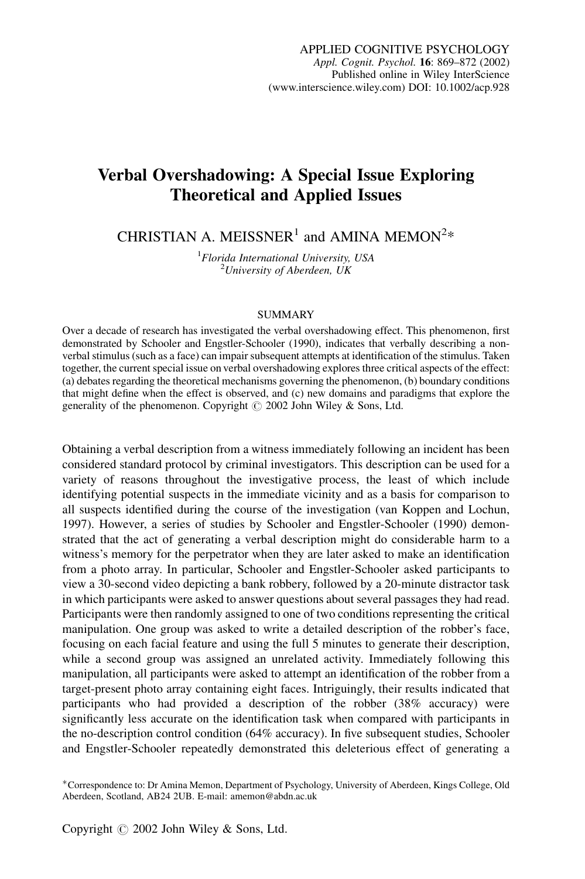## Verbal Overshadowing: A Special Issue Exploring Theoretical and Applied Issues

CHRISTIAN A. MEISSNER<sup>1</sup> and AMINA MEMON<sup>2</sup>\*

<sup>1</sup>Florida International University, USA<br><sup>2</sup>Lluiversity of Aberdeen *LIK*  $^{2}$ University of Aberdeen, UK

## SUMMARY

Over a decade of research has investigated the verbal overshadowing effect. This phenomenon, first demonstrated by Schooler and Engstler-Schooler (1990), indicates that verbally describing a nonverbal stimulus (such as a face) can impair subsequent attempts at identification of the stimulus. Taken together, the current special issue on verbal overshadowing explores three critical aspects of the effect: (a) debates regarding the theoretical mechanisms governing the phenomenon, (b) boundary conditions that might define when the effect is observed, and (c) new domains and paradigms that explore the generality of the phenomenon. Copyright  $\odot$  2002 John Wiley & Sons, Ltd.

Obtaining a verbal description from a witness immediately following an incident has been considered standard protocol by criminal investigators. This description can be used for a variety of reasons throughout the investigative process, the least of which include identifying potential suspects in the immediate vicinity and as a basis for comparison to all suspects identified during the course of the investigation (van Koppen and Lochun, 1997). However, a series of studies by Schooler and Engstler-Schooler (1990) demonstrated that the act of generating a verbal description might do considerable harm to a witness's memory for the perpetrator when they are later asked to make an identification from a photo array. In particular, Schooler and Engstler-Schooler asked participants to view a 30-second video depicting a bank robbery, followed by a 20-minute distractor task in which participants were asked to answer questions about several passages they had read. Participants were then randomly assigned to one of two conditions representing the critical manipulation. One group was asked to write a detailed description of the robber's face, focusing on each facial feature and using the full 5 minutes to generate their description, while a second group was assigned an unrelated activity. Immediately following this manipulation, all participants were asked to attempt an identification of the robber from a target-present photo array containing eight faces. Intriguingly, their results indicated that participants who had provided a description of the robber (38% accuracy) were significantly less accurate on the identification task when compared with participants in the no-description control condition (64% accuracy). In five subsequent studies, Schooler and Engstler-Schooler repeatedly demonstrated this deleterious effect of generating a

Correspondence to: Dr Amina Memon, Department of Psychology, University of Aberdeen, Kings College, Old Aberdeen, Scotland, AB24 2UB. E-mail: amemon@abdn.ac.uk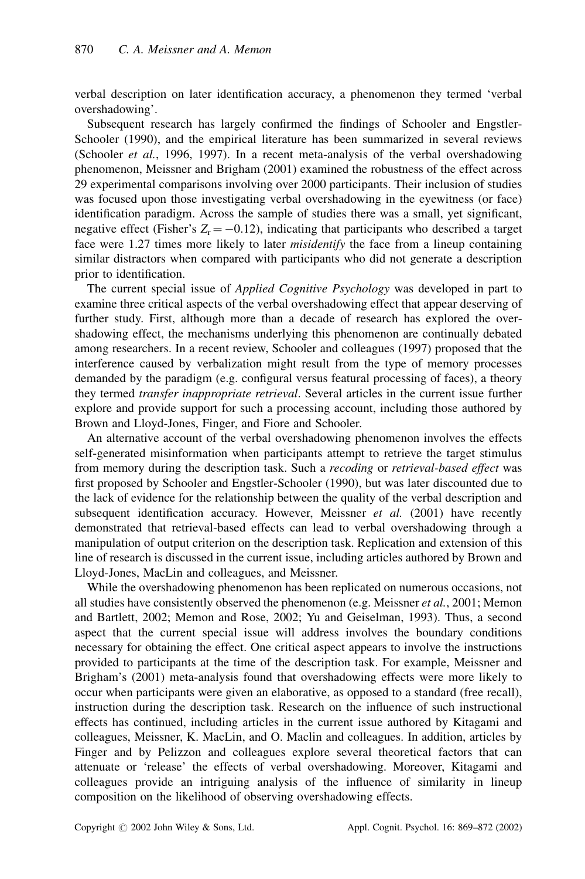verbal description on later identification accuracy, a phenomenon they termed 'verbal overshadowing'.

Subsequent research has largely confirmed the findings of Schooler and Engstler-Schooler (1990), and the empirical literature has been summarized in several reviews (Schooler et al., 1996, 1997). In a recent meta-analysis of the verbal overshadowing phenomenon, Meissner and Brigham (2001) examined the robustness of the effect across 29 experimental comparisons involving over 2000 participants. Their inclusion of studies was focused upon those investigating verbal overshadowing in the eyewitness (or face) identification paradigm. Across the sample of studies there was a small, yet significant, negative effect (Fisher's  $Z_r = -0.12$ ), indicating that participants who described a target face were 1.27 times more likely to later *misidentify* the face from a lineup containing similar distractors when compared with participants who did not generate a description prior to identification.

The current special issue of Applied Cognitive Psychology was developed in part to examine three critical aspects of the verbal overshadowing effect that appear deserving of further study. First, although more than a decade of research has explored the overshadowing effect, the mechanisms underlying this phenomenon are continually debated among researchers. In a recent review, Schooler and colleagues (1997) proposed that the interference caused by verbalization might result from the type of memory processes demanded by the paradigm (e.g. configural versus featural processing of faces), a theory they termed transfer inappropriate retrieval. Several articles in the current issue further explore and provide support for such a processing account, including those authored by Brown and Lloyd-Jones, Finger, and Fiore and Schooler.

An alternative account of the verbal overshadowing phenomenon involves the effects self-generated misinformation when participants attempt to retrieve the target stimulus from memory during the description task. Such a recoding or retrieval-based effect was first proposed by Schooler and Engstler-Schooler (1990), but was later discounted due to the lack of evidence for the relationship between the quality of the verbal description and subsequent identification accuracy. However, Meissner et al. (2001) have recently demonstrated that retrieval-based effects can lead to verbal overshadowing through a manipulation of output criterion on the description task. Replication and extension of this line of research is discussed in the current issue, including articles authored by Brown and Lloyd-Jones, MacLin and colleagues, and Meissner.

While the overshadowing phenomenon has been replicated on numerous occasions, not all studies have consistently observed the phenomenon (e.g. Meissner *et al.*, 2001; Memon and Bartlett, 2002; Memon and Rose, 2002; Yu and Geiselman, 1993). Thus, a second aspect that the current special issue will address involves the boundary conditions necessary for obtaining the effect. One critical aspect appears to involve the instructions provided to participants at the time of the description task. For example, Meissner and Brigham's (2001) meta-analysis found that overshadowing effects were more likely to occur when participants were given an elaborative, as opposed to a standard (free recall), instruction during the description task. Research on the influence of such instructional effects has continued, including articles in the current issue authored by Kitagami and colleagues, Meissner, K. MacLin, and O. Maclin and colleagues. In addition, articles by Finger and by Pelizzon and colleagues explore several theoretical factors that can attenuate or 'release' the effects of verbal overshadowing. Moreover, Kitagami and colleagues provide an intriguing analysis of the influence of similarity in lineup composition on the likelihood of observing overshadowing effects.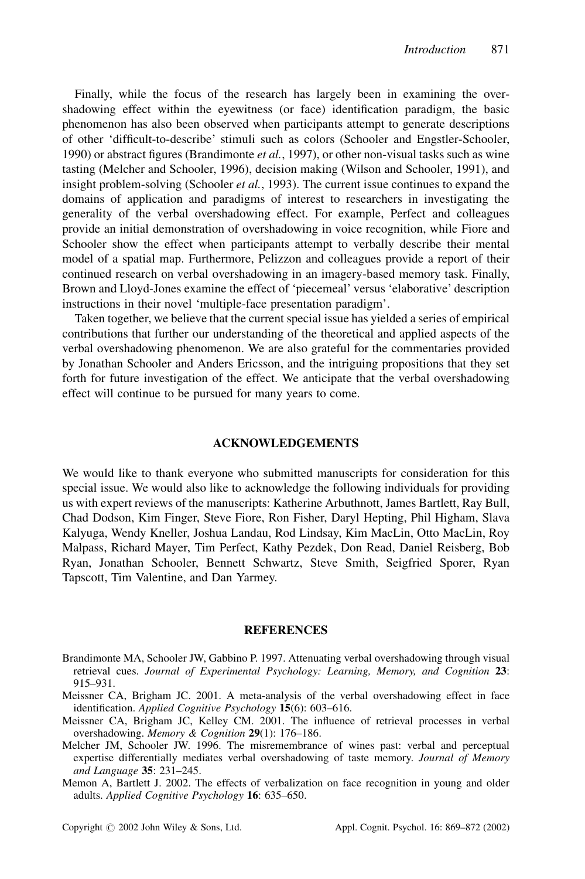Finally, while the focus of the research has largely been in examining the overshadowing effect within the eyewitness (or face) identification paradigm, the basic phenomenon has also been observed when participants attempt to generate descriptions of other 'difficult-to-describe' stimuli such as colors (Schooler and Engstler-Schooler, 1990) or abstract figures (Brandimonte et al., 1997), or other non-visual tasks such as wine tasting (Melcher and Schooler, 1996), decision making (Wilson and Schooler, 1991), and insight problem-solving (Schooler et al., 1993). The current issue continues to expand the domains of application and paradigms of interest to researchers in investigating the generality of the verbal overshadowing effect. For example, Perfect and colleagues provide an initial demonstration of overshadowing in voice recognition, while Fiore and Schooler show the effect when participants attempt to verbally describe their mental model of a spatial map. Furthermore, Pelizzon and colleagues provide a report of their continued research on verbal overshadowing in an imagery-based memory task. Finally, Brown and Lloyd-Jones examine the effect of 'piecemeal' versus 'elaborative' description instructions in their novel 'multiple-face presentation paradigm'.

Taken together, we believe that the current special issue has yielded a series of empirical contributions that further our understanding of the theoretical and applied aspects of the verbal overshadowing phenomenon. We are also grateful for the commentaries provided by Jonathan Schooler and Anders Ericsson, and the intriguing propositions that they set forth for future investigation of the effect. We anticipate that the verbal overshadowing effect will continue to be pursued for many years to come.

## ACKNOWLEDGEMENTS

We would like to thank everyone who submitted manuscripts for consideration for this special issue. We would also like to acknowledge the following individuals for providing us with expert reviews of the manuscripts: Katherine Arbuthnott, James Bartlett, Ray Bull, Chad Dodson, Kim Finger, Steve Fiore, Ron Fisher, Daryl Hepting, Phil Higham, Slava Kalyuga, Wendy Kneller, Joshua Landau, Rod Lindsay, Kim MacLin, Otto MacLin, Roy Malpass, Richard Mayer, Tim Perfect, Kathy Pezdek, Don Read, Daniel Reisberg, Bob Ryan, Jonathan Schooler, Bennett Schwartz, Steve Smith, Seigfried Sporer, Ryan Tapscott, Tim Valentine, and Dan Yarmey.

## **REFERENCES**

- Brandimonte MA, Schooler JW, Gabbino P. 1997. Attenuating verbal overshadowing through visual retrieval cues. Journal of Experimental Psychology: Learning, Memory, and Cognition 23: 915–931.
- Meissner CA, Brigham JC. 2001. A meta-analysis of the verbal overshadowing effect in face identification. Applied Cognitive Psychology 15(6): 603–616.
- Meissner CA, Brigham JC, Kelley CM. 2001. The influence of retrieval processes in verbal overshadowing. Memory & Cognition 29(1): 176-186.
- Melcher JM, Schooler JW. 1996. The misremembrance of wines past: verbal and perceptual expertise differentially mediates verbal overshadowing of taste memory. Journal of Memory and Language 35: 231–245.
- Memon A, Bartlett J. 2002. The effects of verbalization on face recognition in young and older adults. Applied Cognitive Psychology 16: 635-650.